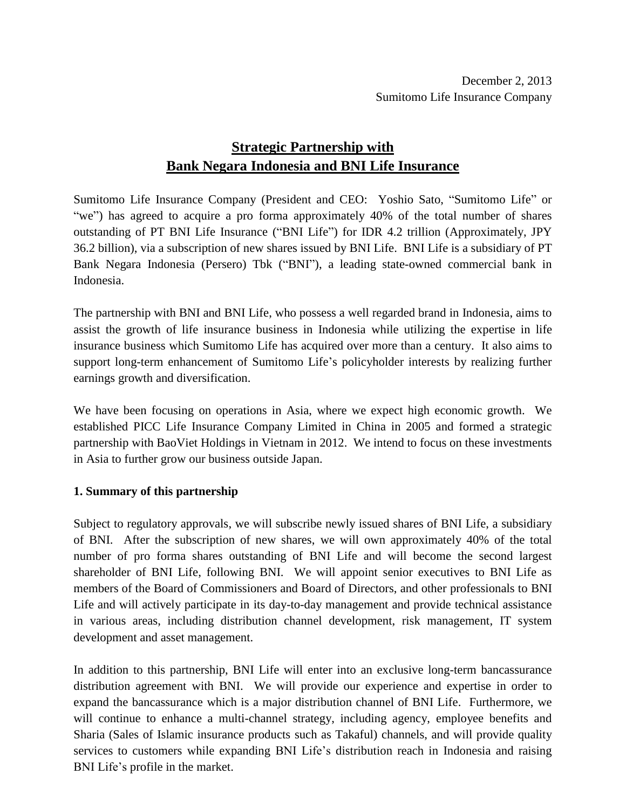# **Strategic Partnership with Bank Negara Indonesia and BNI Life Insurance**

Sumitomo Life Insurance Company (President and CEO: Yoshio Sato, "Sumitomo Life" or "we") has agreed to acquire a pro forma approximately 40% of the total number of shares outstanding of PT BNI Life Insurance ("BNI Life") for IDR 4.2 trillion (Approximately, JPY 36.2 billion), via a subscription of new shares issued by BNI Life. BNI Life is a subsidiary of PT Bank Negara Indonesia (Persero) Tbk ("BNI"), a leading state-owned commercial bank in Indonesia.

The partnership with BNI and BNI Life, who possess a well regarded brand in Indonesia, aims to assist the growth of life insurance business in Indonesia while utilizing the expertise in life insurance business which Sumitomo Life has acquired over more than a century. It also aims to support long-term enhancement of Sumitomo Life's policyholder interests by realizing further earnings growth and diversification.

We have been focusing on operations in Asia, where we expect high economic growth. We established PICC Life Insurance Company Limited in China in 2005 and formed a strategic partnership with BaoViet Holdings in Vietnam in 2012. We intend to focus on these investments in Asia to further grow our business outside Japan.

## **1. Summary of this partnership**

Subject to regulatory approvals, we will subscribe newly issued shares of BNI Life, a subsidiary of BNI. After the subscription of new shares, we will own approximately 40% of the total number of pro forma shares outstanding of BNI Life and will become the second largest shareholder of BNI Life, following BNI. We will appoint senior executives to BNI Life as members of the Board of Commissioners and Board of Directors, and other professionals to BNI Life and will actively participate in its day-to-day management and provide technical assistance in various areas, including distribution channel development, risk management, IT system development and asset management.

In addition to this partnership, BNI Life will enter into an exclusive long-term bancassurance distribution agreement with BNI. We will provide our experience and expertise in order to expand the bancassurance which is a major distribution channel of BNI Life. Furthermore, we will continue to enhance a multi-channel strategy, including agency, employee benefits and Sharia (Sales of Islamic insurance products such as Takaful) channels, and will provide quality services to customers while expanding BNI Life's distribution reach in Indonesia and raising BNI Life's profile in the market.